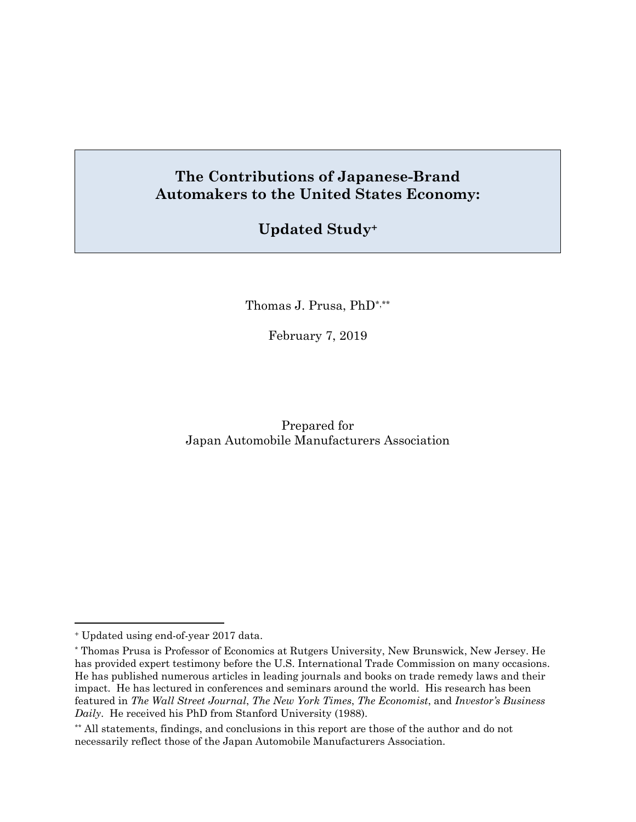# **The Contributions of Japanese-Brand Automakers to the United States Economy:**

# **Updated Study+**

Thomas J. Prusa, PhD\*,\*\*

February 7, 2019

Prepared for Japan Automobile Manufacturers Association

<sup>+</sup> Updated using end-of-year 2017 data.

<sup>\*</sup> Thomas Prusa is Professor of Economics at Rutgers University, New Brunswick, New Jersey. He has provided expert testimony before the U.S. International Trade Commission on many occasions. He has published numerous articles in leading journals and books on trade remedy laws and their impact. He has lectured in conferences and seminars around the world. His research has been featured in *The Wall Street Journal*, *The New York Times*, *The Economist*, and *Investor's Business Daily*. He received his PhD from Stanford University (1988).

<sup>\*\*</sup> All statements, findings, and conclusions in this report are those of the author and do not necessarily reflect those of the Japan Automobile Manufacturers Association.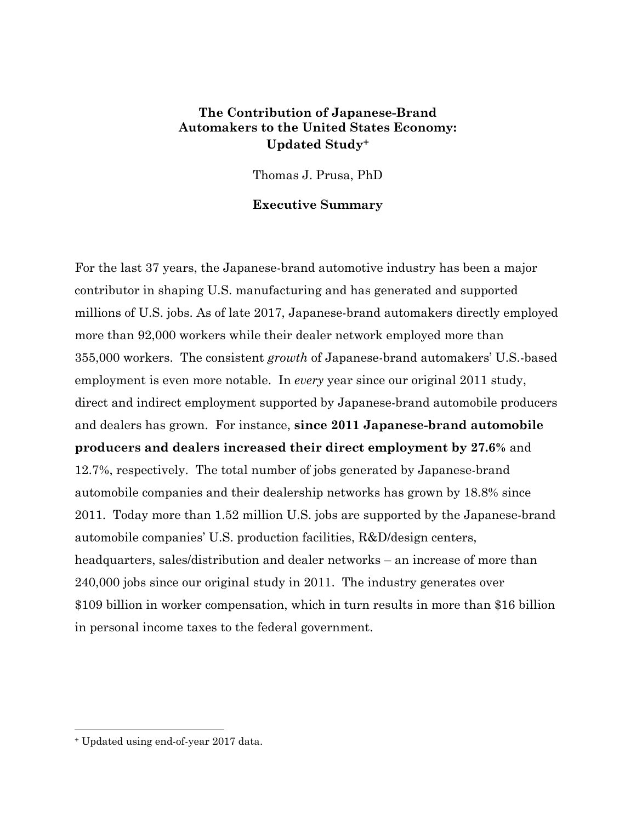#### **The Contribution of Japanese-Brand Automakers to the United States Economy: Updated Study+**

Thomas J. Prusa, PhD

#### **Executive Summary**

For the last 37 years, the Japanese-brand automotive industry has been a major contributor in shaping U.S. manufacturing and has generated and supported millions of U.S. jobs. As of late 2017, Japanese-brand automakers directly employed more than 92,000 workers while their dealer network employed more than 355,000 workers. The consistent *growth* of Japanese-brand automakers' U.S.-based employment is even more notable. In *every* year since our original 2011 study, direct and indirect employment supported by Japanese-brand automobile producers and dealers has grown. For instance, **since 2011 Japanese-brand automobile producers and dealers increased their direct employment by 27.6%** and 12.7%, respectively. The total number of jobs generated by Japanese-brand automobile companies and their dealership networks has grown by 18.8% since 2011. Today more than 1.52 million U.S. jobs are supported by the Japanese-brand automobile companies' U.S. production facilities, R&D/design centers, headquarters, sales/distribution and dealer networks – an increase of more than 240,000 jobs since our original study in 2011. The industry generates over \$109 billion in worker compensation, which in turn results in more than \$16 billion in personal income taxes to the federal government.

<sup>+</sup> Updated using end-of-year 2017 data.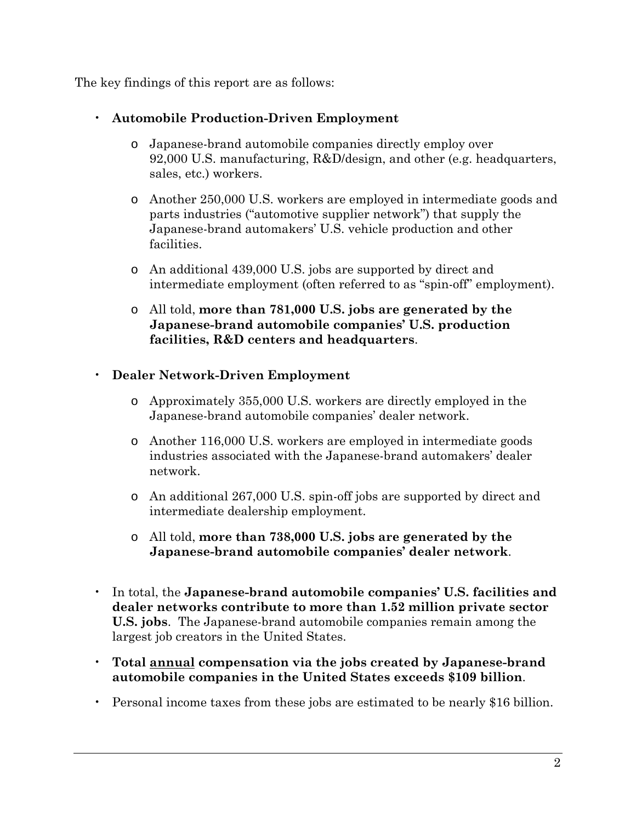The key findings of this report are as follows:

- **Automobile Production-Driven Employment** 
	- o Japanese-brand automobile companies directly employ over 92,000 U.S. manufacturing, R&D/design, and other (e.g. headquarters, sales, etc.) workers.
	- o Another 250,000 U.S. workers are employed in intermediate goods and parts industries ("automotive supplier network") that supply the Japanese-brand automakers' U.S. vehicle production and other facilities.
	- o An additional 439,000 U.S. jobs are supported by direct and intermediate employment (often referred to as "spin-off" employment).
	- o All told, **more than 781,000 U.S. jobs are generated by the Japanese-brand automobile companies' U.S. production facilities, R&D centers and headquarters**.
- **Dealer Network-Driven Employment** 
	- o Approximately 355,000 U.S. workers are directly employed in the Japanese-brand automobile companies' dealer network.
	- o Another 116,000 U.S. workers are employed in intermediate goods industries associated with the Japanese-brand automakers' dealer network.
	- o An additional 267,000 U.S. spin-off jobs are supported by direct and intermediate dealership employment.
	- o All told, **more than 738,000 U.S. jobs are generated by the Japanese-brand automobile companies' dealer network**.
- In total, the **Japanese-brand automobile companies' U.S. facilities and dealer networks contribute to more than 1.52 million private sector U.S. jobs**. The Japanese-brand automobile companies remain among the largest job creators in the United States.
- **Total annual compensation via the jobs created by Japanese-brand automobile companies in the United States exceeds \$109 billion**.
- Personal income taxes from these jobs are estimated to be nearly \$16 billion.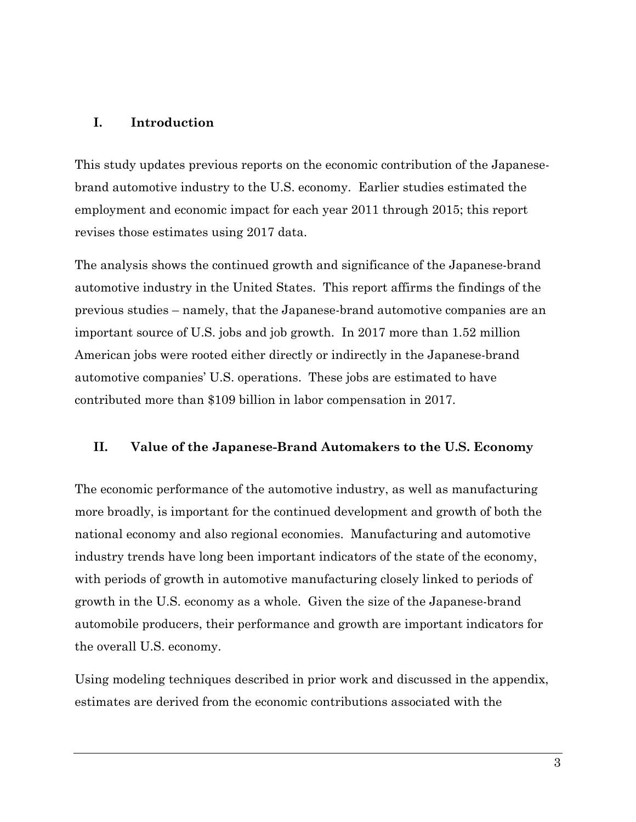#### **I. Introduction**

This study updates previous reports on the economic contribution of the Japanesebrand automotive industry to the U.S. economy. Earlier studies estimated the employment and economic impact for each year 2011 through 2015; this report revises those estimates using 2017 data.

The analysis shows the continued growth and significance of the Japanese-brand automotive industry in the United States. This report affirms the findings of the previous studies – namely, that the Japanese-brand automotive companies are an important source of U.S. jobs and job growth. In 2017 more than 1.52 million American jobs were rooted either directly or indirectly in the Japanese-brand automotive companies' U.S. operations. These jobs are estimated to have contributed more than \$109 billion in labor compensation in 2017.

#### **II. Value of the Japanese-Brand Automakers to the U.S. Economy**

The economic performance of the automotive industry, as well as manufacturing more broadly, is important for the continued development and growth of both the national economy and also regional economies. Manufacturing and automotive industry trends have long been important indicators of the state of the economy, with periods of growth in automotive manufacturing closely linked to periods of growth in the U.S. economy as a whole. Given the size of the Japanese-brand automobile producers, their performance and growth are important indicators for the overall U.S. economy.

Using modeling techniques described in prior work and discussed in the appendix, estimates are derived from the economic contributions associated with the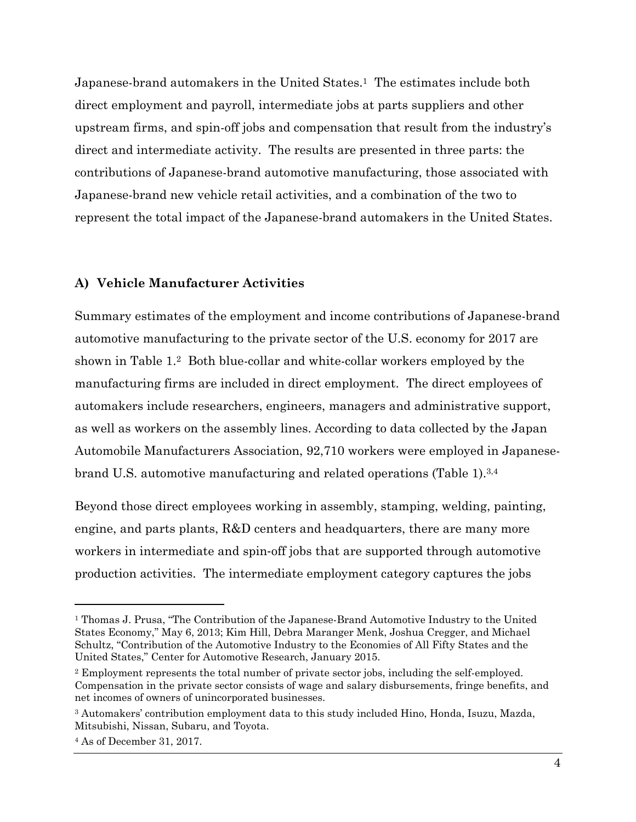Japanese-brand automakers in the United States.1 The estimates include both direct employment and payroll, intermediate jobs at parts suppliers and other upstream firms, and spin-off jobs and compensation that result from the industry's direct and intermediate activity. The results are presented in three parts: the contributions of Japanese-brand automotive manufacturing, those associated with Japanese-brand new vehicle retail activities, and a combination of the two to represent the total impact of the Japanese-brand automakers in the United States.

#### **A) Vehicle Manufacturer Activities**

Summary estimates of the employment and income contributions of Japanese-brand automotive manufacturing to the private sector of the U.S. economy for 2017 are shown in Table 1.2 Both blue-collar and white-collar workers employed by the manufacturing firms are included in direct employment. The direct employees of automakers include researchers, engineers, managers and administrative support, as well as workers on the assembly lines. According to data collected by the Japan Automobile Manufacturers Association, 92,710 workers were employed in Japanesebrand U.S. automotive manufacturing and related operations (Table 1).3,4

Beyond those direct employees working in assembly, stamping, welding, painting, engine, and parts plants, R&D centers and headquarters, there are many more workers in intermediate and spin-off jobs that are supported through automotive production activities. The intermediate employment category captures the jobs

1

<sup>1</sup> Thomas J. Prusa, "The Contribution of the Japanese-Brand Automotive Industry to the United States Economy," May 6, 2013; Kim Hill, Debra Maranger Menk, Joshua Cregger, and Michael Schultz, "Contribution of the Automotive Industry to the Economies of All Fifty States and the United States," Center for Automotive Research, January 2015.

<sup>2</sup> Employment represents the total number of private sector jobs, including the self-employed. Compensation in the private sector consists of wage and salary disbursements, fringe benefits, and net incomes of owners of unincorporated businesses.

<sup>3</sup> Automakers' contribution employment data to this study included Hino, Honda, Isuzu, Mazda, Mitsubishi, Nissan, Subaru, and Toyota.

<sup>4</sup> As of December 31, 2017.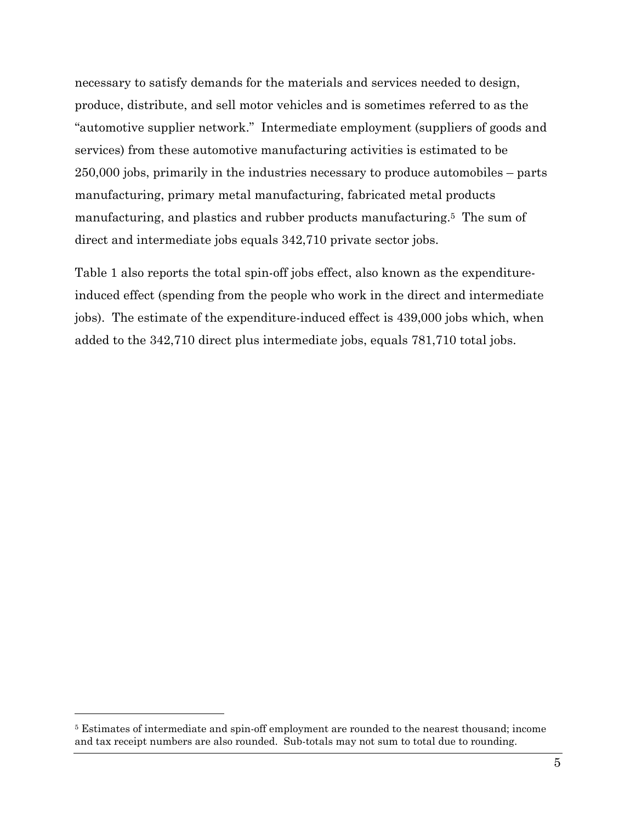necessary to satisfy demands for the materials and services needed to design, produce, distribute, and sell motor vehicles and is sometimes referred to as the "automotive supplier network." Intermediate employment (suppliers of goods and services) from these automotive manufacturing activities is estimated to be 250,000 jobs, primarily in the industries necessary to produce automobiles – parts manufacturing, primary metal manufacturing, fabricated metal products manufacturing, and plastics and rubber products manufacturing.5 The sum of direct and intermediate jobs equals 342,710 private sector jobs.

Table 1 also reports the total spin-off jobs effect, also known as the expenditureinduced effect (spending from the people who work in the direct and intermediate jobs). The estimate of the expenditure-induced effect is 439,000 jobs which, when added to the 342,710 direct plus intermediate jobs, equals 781,710 total jobs.

<sup>5</sup> Estimates of intermediate and spin-off employment are rounded to the nearest thousand; income and tax receipt numbers are also rounded. Sub-totals may not sum to total due to rounding.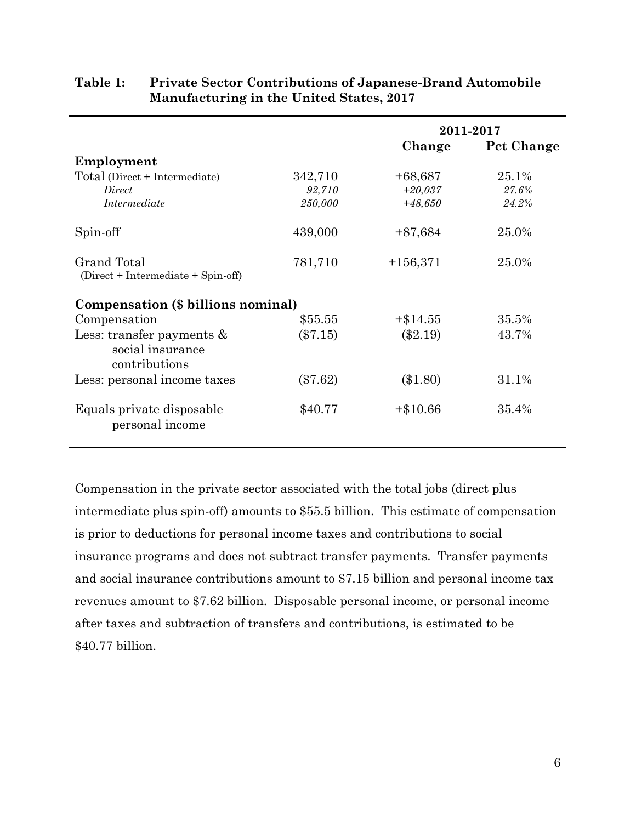|                                                                   |            |               | 2011-2017         |  |  |  |
|-------------------------------------------------------------------|------------|---------------|-------------------|--|--|--|
|                                                                   |            | <u>Change</u> | <u>Pct Change</u> |  |  |  |
| Employment                                                        |            |               |                   |  |  |  |
| Total (Direct + Intermediate)                                     | 342,710    | $+68,687$     | 25.1%             |  |  |  |
| Direct                                                            | 92,710     | $+20,037$     | 27.6%             |  |  |  |
| Intermediate                                                      | 250,000    | $+48,650$     | 24.2%             |  |  |  |
| Spin-off                                                          | 439,000    | $+87,684$     | 25.0%             |  |  |  |
| Grand Total<br>(Direct + Intermediate + Spin-off)                 | 781,710    | $+156,371$    | 25.0%             |  |  |  |
| Compensation (\$ billions nominal)                                |            |               |                   |  |  |  |
| Compensation                                                      | \$55.55    | $+\$14.55$    | 35.5%             |  |  |  |
| Less: transfer payments $\&$<br>social insurance<br>contributions | $(\$7.15)$ | $(\$2.19)$    | 43.7%             |  |  |  |
| Less: personal income taxes                                       | $(\$7.62)$ | $(\$1.80)$    | 31.1%             |  |  |  |
| Equals private disposable<br>personal income                      | \$40.77    | $+\$10.66$    | 35.4%             |  |  |  |

## **Table 1: Private Sector Contributions of Japanese-Brand Automobile Manufacturing in the United States, 2017**

Compensation in the private sector associated with the total jobs (direct plus intermediate plus spin-off) amounts to \$55.5 billion. This estimate of compensation is prior to deductions for personal income taxes and contributions to social insurance programs and does not subtract transfer payments. Transfer payments and social insurance contributions amount to \$7.15 billion and personal income tax revenues amount to \$7.62 billion. Disposable personal income, or personal income after taxes and subtraction of transfers and contributions, is estimated to be \$40.77 billion.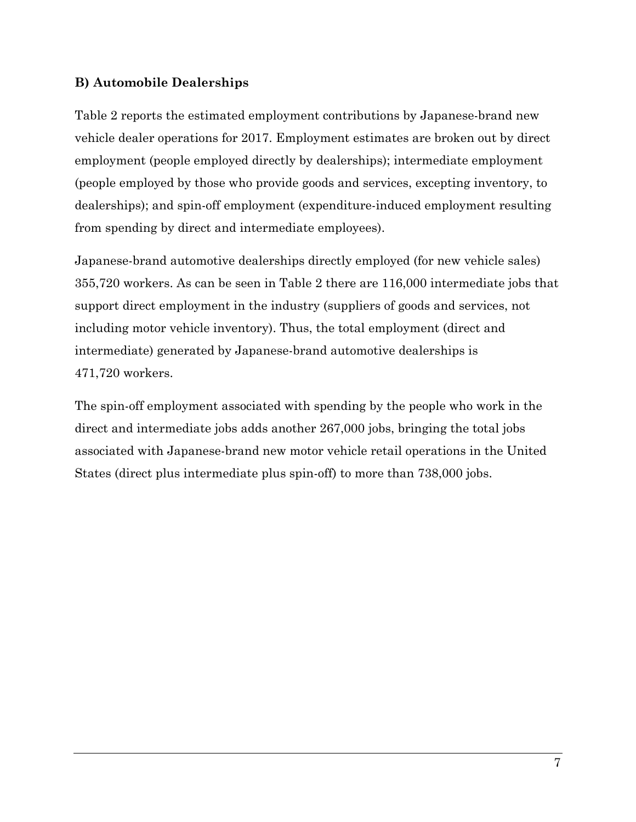## **B) Automobile Dealerships**

Table 2 reports the estimated employment contributions by Japanese-brand new vehicle dealer operations for 2017. Employment estimates are broken out by direct employment (people employed directly by dealerships); intermediate employment (people employed by those who provide goods and services, excepting inventory, to dealerships); and spin-off employment (expenditure-induced employment resulting from spending by direct and intermediate employees).

Japanese-brand automotive dealerships directly employed (for new vehicle sales) 355,720 workers. As can be seen in Table 2 there are 116,000 intermediate jobs that support direct employment in the industry (suppliers of goods and services, not including motor vehicle inventory). Thus, the total employment (direct and intermediate) generated by Japanese-brand automotive dealerships is 471,720 workers.

The spin-off employment associated with spending by the people who work in the direct and intermediate jobs adds another 267,000 jobs, bringing the total jobs associated with Japanese-brand new motor vehicle retail operations in the United States (direct plus intermediate plus spin-off) to more than 738,000 jobs.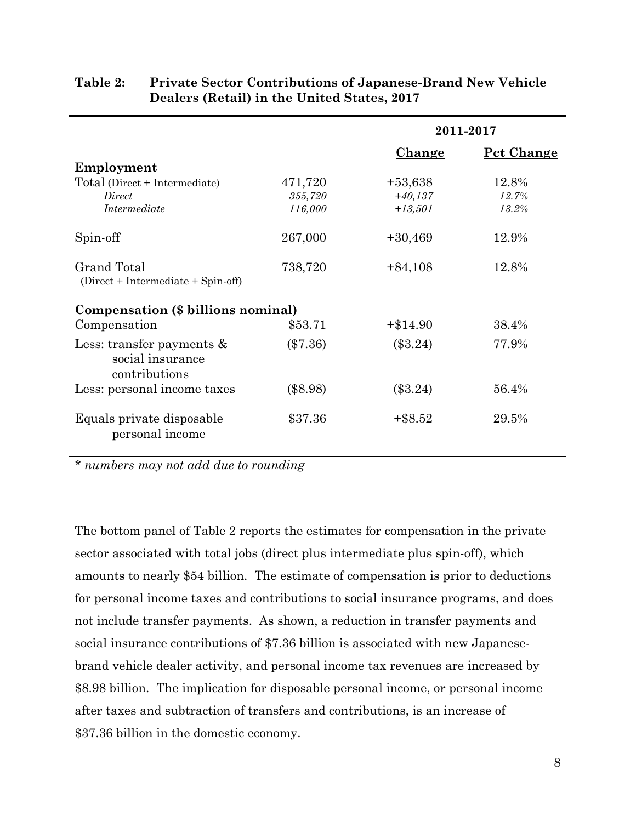|                                                                   |            | 2011-2017     |            |  |  |  |
|-------------------------------------------------------------------|------------|---------------|------------|--|--|--|
|                                                                   |            | <u>Change</u> | Pct Change |  |  |  |
| Employment                                                        |            |               |            |  |  |  |
| Total (Direct + Intermediate)                                     | 471,720    | $+53,638$     | 12.8%      |  |  |  |
| Direct                                                            | 355,720    | $+40,137$     | 12.7%      |  |  |  |
| Intermediate                                                      | 116,000    | $+13,501$     | 13.2%      |  |  |  |
| Spin-off                                                          | 267,000    | $+30,469$     | 12.9%      |  |  |  |
| Grand Total<br>$(Direct + Intermediate + Spin-off)$               | 738,720    | $+84,108$     | 12.8%      |  |  |  |
| Compensation (\$ billions nominal)                                |            |               |            |  |  |  |
| Compensation                                                      | \$53.71    | $+\$14.90$    | 38.4%      |  |  |  |
| Less: transfer payments $\&$<br>social insurance<br>contributions | $(\$7.36)$ | $(\$3.24)$    | 77.9%      |  |  |  |
| Less: personal income taxes                                       | $(\$8.98)$ | $(\$3.24)$    | 56.4%      |  |  |  |
| Equals private disposable<br>personal income                      | \$37.36    | $+$ \$8.52    | 29.5%      |  |  |  |

## **Table 2: Private Sector Contributions of Japanese-Brand New Vehicle Dealers (Retail) in the United States, 2017**

*\* numbers may not add due to rounding* 

The bottom panel of Table 2 reports the estimates for compensation in the private sector associated with total jobs (direct plus intermediate plus spin-off), which amounts to nearly \$54 billion. The estimate of compensation is prior to deductions for personal income taxes and contributions to social insurance programs, and does not include transfer payments. As shown, a reduction in transfer payments and social insurance contributions of \$7.36 billion is associated with new Japanesebrand vehicle dealer activity, and personal income tax revenues are increased by \$8.98 billion. The implication for disposable personal income, or personal income after taxes and subtraction of transfers and contributions, is an increase of \$37.36 billion in the domestic economy.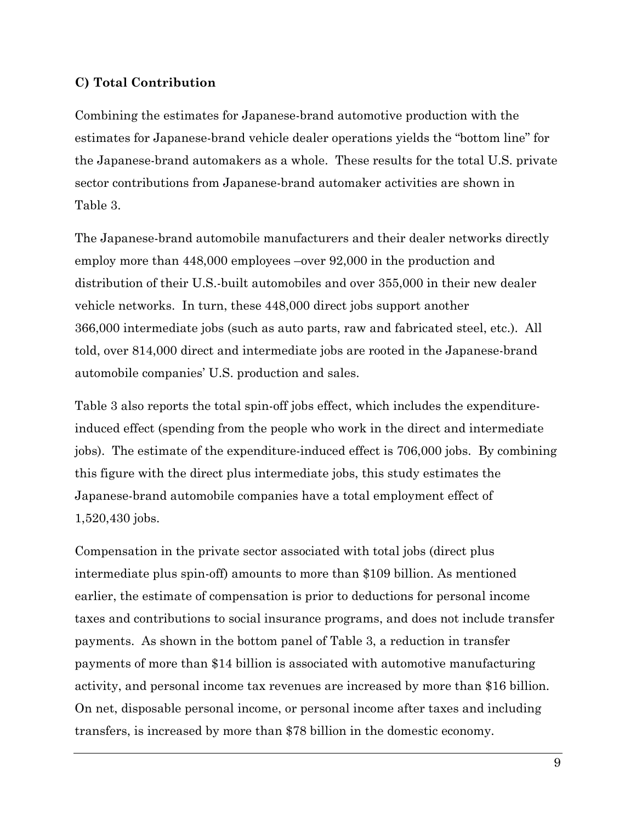#### **C) Total Contribution**

Combining the estimates for Japanese-brand automotive production with the estimates for Japanese-brand vehicle dealer operations yields the "bottom line" for the Japanese-brand automakers as a whole. These results for the total U.S. private sector contributions from Japanese-brand automaker activities are shown in Table 3.

The Japanese-brand automobile manufacturers and their dealer networks directly employ more than 448,000 employees –over 92,000 in the production and distribution of their U.S.-built automobiles and over 355,000 in their new dealer vehicle networks. In turn, these 448,000 direct jobs support another 366,000 intermediate jobs (such as auto parts, raw and fabricated steel, etc.). All told, over 814,000 direct and intermediate jobs are rooted in the Japanese-brand automobile companies' U.S. production and sales.

Table 3 also reports the total spin-off jobs effect, which includes the expenditureinduced effect (spending from the people who work in the direct and intermediate jobs). The estimate of the expenditure-induced effect is 706,000 jobs. By combining this figure with the direct plus intermediate jobs, this study estimates the Japanese-brand automobile companies have a total employment effect of 1,520,430 jobs.

Compensation in the private sector associated with total jobs (direct plus intermediate plus spin-off) amounts to more than \$109 billion. As mentioned earlier, the estimate of compensation is prior to deductions for personal income taxes and contributions to social insurance programs, and does not include transfer payments. As shown in the bottom panel of Table 3, a reduction in transfer payments of more than \$14 billion is associated with automotive manufacturing activity, and personal income tax revenues are increased by more than \$16 billion. On net, disposable personal income, or personal income after taxes and including transfers, is increased by more than \$78 billion in the domestic economy.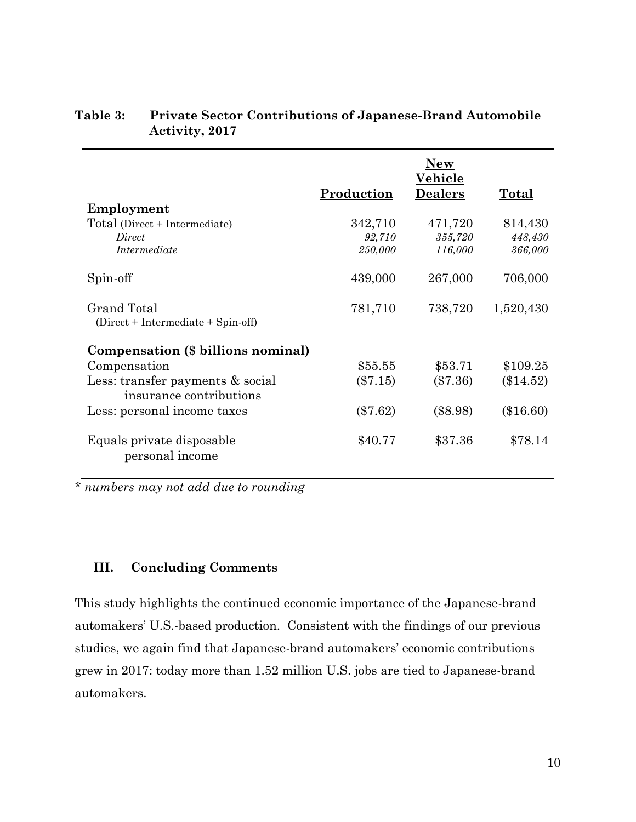|                                                             | Production | <b>New</b><br>Vehicle<br><b>Dealers</b> | Total       |
|-------------------------------------------------------------|------------|-----------------------------------------|-------------|
| Employment                                                  |            |                                         |             |
| Total (Direct + Intermediate)                               | 342,710    | 471,720                                 | 814,430     |
| Direct                                                      | 92,710     | 355,720                                 | 448,430     |
| Intermediate                                                | 250,000    | 116,000                                 | 366,000     |
| Spin-off                                                    | 439,000    | 267,000                                 | 706,000     |
| Grand Total<br>(Direct + Intermediate + Spin-off)           | 781,710    | 738,720                                 | 1,520,430   |
| Compensation (\$ billions nominal)                          |            |                                         |             |
| Compensation                                                | \$55.55    | \$53.71                                 | \$109.25    |
| Less: transfer payments & social<br>insurance contributions | $(\$7.15)$ | $(\$7.36)$                              | $(\$14.52)$ |
| Less: personal income taxes                                 | $(\$7.62)$ | $(\$8.98)$                              | $(\$16.60)$ |
| Equals private disposable<br>personal income                | \$40.77    | \$37.36                                 | \$78.14     |

## **Table 3: Private Sector Contributions of Japanese-Brand Automobile Activity, 2017**

*\* numbers may not add due to rounding* 

## **III. Concluding Comments**

This study highlights the continued economic importance of the Japanese-brand automakers' U.S.-based production. Consistent with the findings of our previous studies, we again find that Japanese-brand automakers' economic contributions grew in 2017: today more than 1.52 million U.S. jobs are tied to Japanese-brand automakers.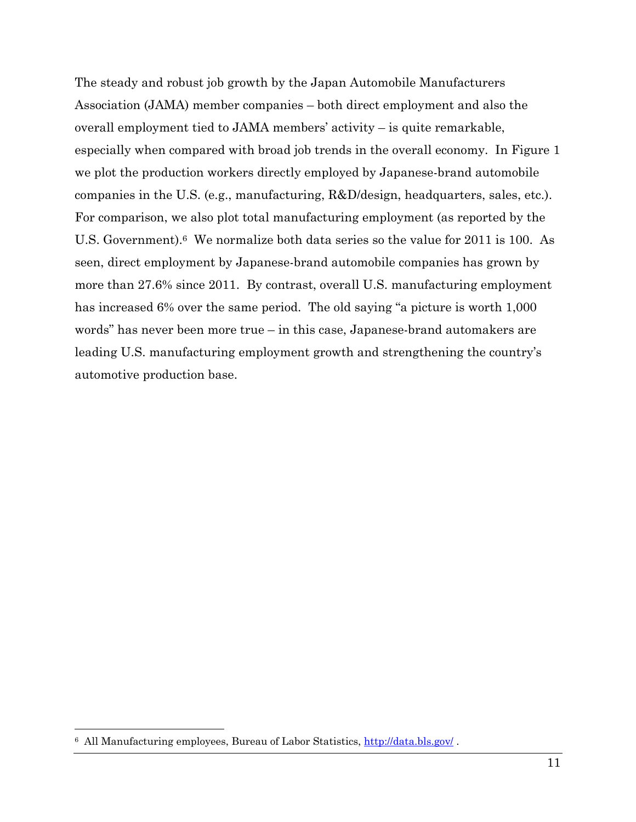The steady and robust job growth by the Japan Automobile Manufacturers Association (JAMA) member companies – both direct employment and also the overall employment tied to JAMA members' activity – is quite remarkable, especially when compared with broad job trends in the overall economy. In Figure 1 we plot the production workers directly employed by Japanese-brand automobile companies in the U.S. (e.g., manufacturing, R&D/design, headquarters, sales, etc.). For comparison, we also plot total manufacturing employment (as reported by the U.S. Government).6 We normalize both data series so the value for 2011 is 100. As seen, direct employment by Japanese-brand automobile companies has grown by more than 27.6% since 2011. By contrast, overall U.S. manufacturing employment has increased 6% over the same period. The old saying "a picture is worth 1,000 words" has never been more true – in this case, Japanese-brand automakers are leading U.S. manufacturing employment growth and strengthening the country's automotive production base.

<sup>&</sup>lt;sup>6</sup> All Manufacturing employees, Bureau of Labor Statistics, http://data.bls.gov/.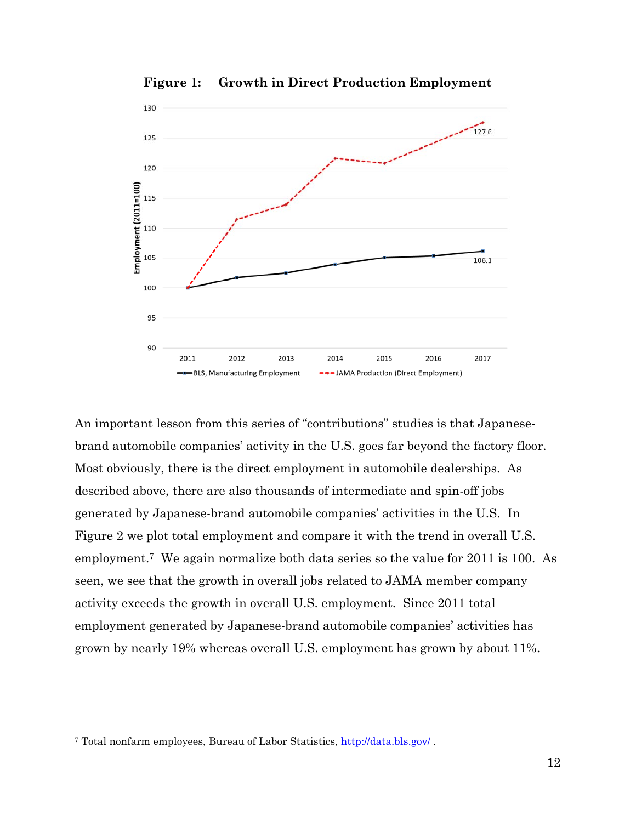

**Figure 1: Growth in Direct Production Employment** 

An important lesson from this series of "contributions" studies is that Japanesebrand automobile companies' activity in the U.S. goes far beyond the factory floor. Most obviously, there is the direct employment in automobile dealerships. As described above, there are also thousands of intermediate and spin-off jobs generated by Japanese-brand automobile companies' activities in the U.S. In Figure 2 we plot total employment and compare it with the trend in overall U.S. employment.7 We again normalize both data series so the value for 2011 is 100. As seen, we see that the growth in overall jobs related to JAMA member company activity exceeds the growth in overall U.S. employment. Since 2011 total employment generated by Japanese-brand automobile companies' activities has grown by nearly 19% whereas overall U.S. employment has grown by about 11%.

1

<sup>7</sup> Total nonfarm employees, Bureau of Labor Statistics, http://data.bls.gov/ .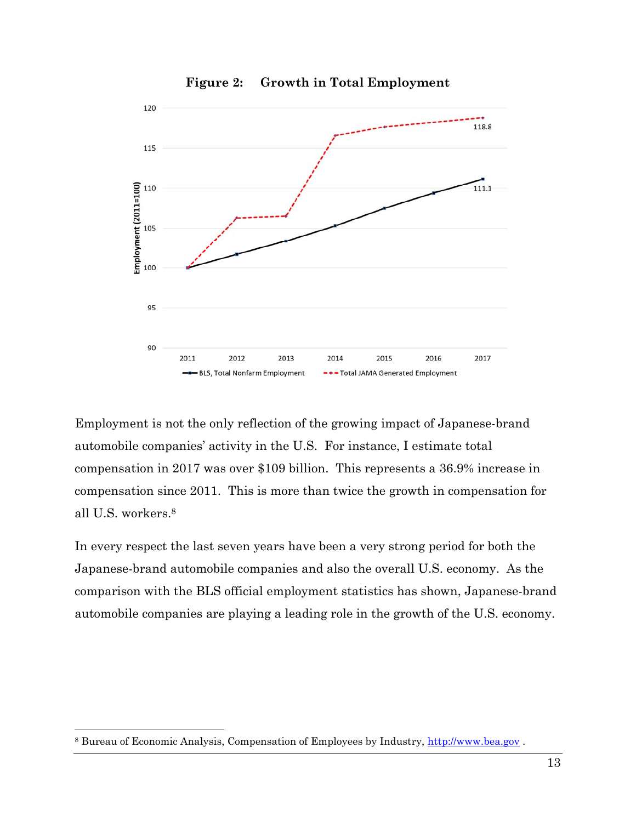

**Figure 2: Growth in Total Employment** 

Employment is not the only reflection of the growing impact of Japanese-brand automobile companies' activity in the U.S. For instance, I estimate total compensation in 2017 was over \$109 billion. This represents a 36.9% increase in compensation since 2011. This is more than twice the growth in compensation for all U.S. workers.8

In every respect the last seven years have been a very strong period for both the Japanese-brand automobile companies and also the overall U.S. economy. As the comparison with the BLS official employment statistics has shown, Japanese-brand automobile companies are playing a leading role in the growth of the U.S. economy.

1

<sup>8</sup> Bureau of Economic Analysis, Compensation of Employees by Industry, http://www.bea.gov .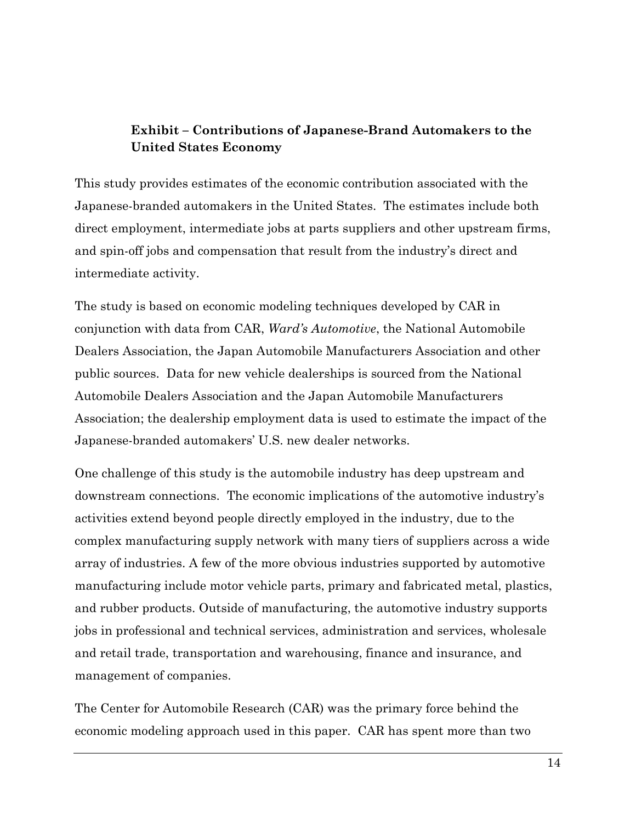# **Exhibit – Contributions of Japanese-Brand Automakers to the United States Economy**

This study provides estimates of the economic contribution associated with the Japanese-branded automakers in the United States. The estimates include both direct employment, intermediate jobs at parts suppliers and other upstream firms, and spin-off jobs and compensation that result from the industry's direct and intermediate activity.

The study is based on economic modeling techniques developed by CAR in conjunction with data from CAR, *Ward's Automotive*, the National Automobile Dealers Association, the Japan Automobile Manufacturers Association and other public sources. Data for new vehicle dealerships is sourced from the National Automobile Dealers Association and the Japan Automobile Manufacturers Association; the dealership employment data is used to estimate the impact of the Japanese-branded automakers' U.S. new dealer networks.

One challenge of this study is the automobile industry has deep upstream and downstream connections. The economic implications of the automotive industry's activities extend beyond people directly employed in the industry, due to the complex manufacturing supply network with many tiers of suppliers across a wide array of industries. A few of the more obvious industries supported by automotive manufacturing include motor vehicle parts, primary and fabricated metal, plastics, and rubber products. Outside of manufacturing, the automotive industry supports jobs in professional and technical services, administration and services, wholesale and retail trade, transportation and warehousing, finance and insurance, and management of companies.

The Center for Automobile Research (CAR) was the primary force behind the economic modeling approach used in this paper. CAR has spent more than two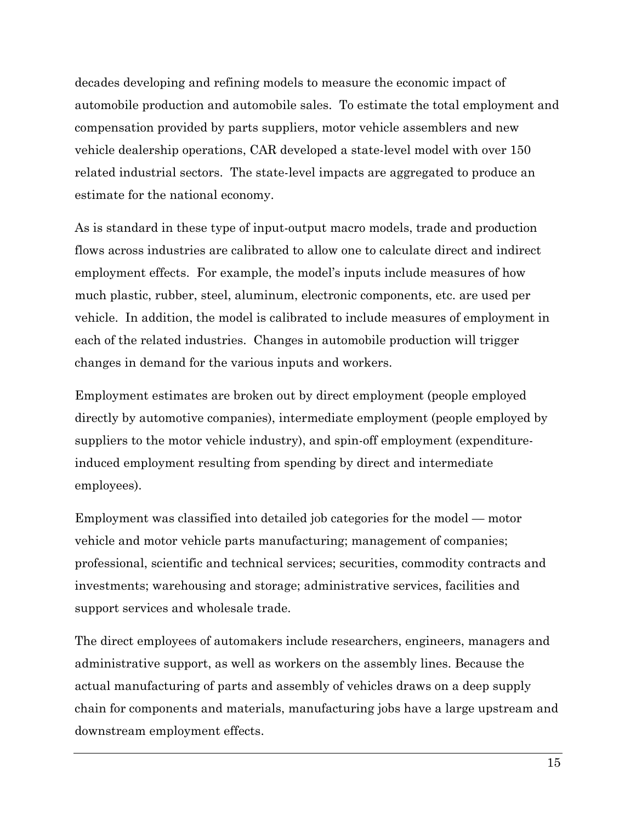decades developing and refining models to measure the economic impact of automobile production and automobile sales. To estimate the total employment and compensation provided by parts suppliers, motor vehicle assemblers and new vehicle dealership operations, CAR developed a state-level model with over 150 related industrial sectors. The state-level impacts are aggregated to produce an estimate for the national economy.

As is standard in these type of input-output macro models, trade and production flows across industries are calibrated to allow one to calculate direct and indirect employment effects. For example, the model's inputs include measures of how much plastic, rubber, steel, aluminum, electronic components, etc. are used per vehicle. In addition, the model is calibrated to include measures of employment in each of the related industries. Changes in automobile production will trigger changes in demand for the various inputs and workers.

Employment estimates are broken out by direct employment (people employed directly by automotive companies), intermediate employment (people employed by suppliers to the motor vehicle industry), and spin-off employment (expenditureinduced employment resulting from spending by direct and intermediate employees).

Employment was classified into detailed job categories for the model — motor vehicle and motor vehicle parts manufacturing; management of companies; professional, scientific and technical services; securities, commodity contracts and investments; warehousing and storage; administrative services, facilities and support services and wholesale trade.

The direct employees of automakers include researchers, engineers, managers and administrative support, as well as workers on the assembly lines. Because the actual manufacturing of parts and assembly of vehicles draws on a deep supply chain for components and materials, manufacturing jobs have a large upstream and downstream employment effects.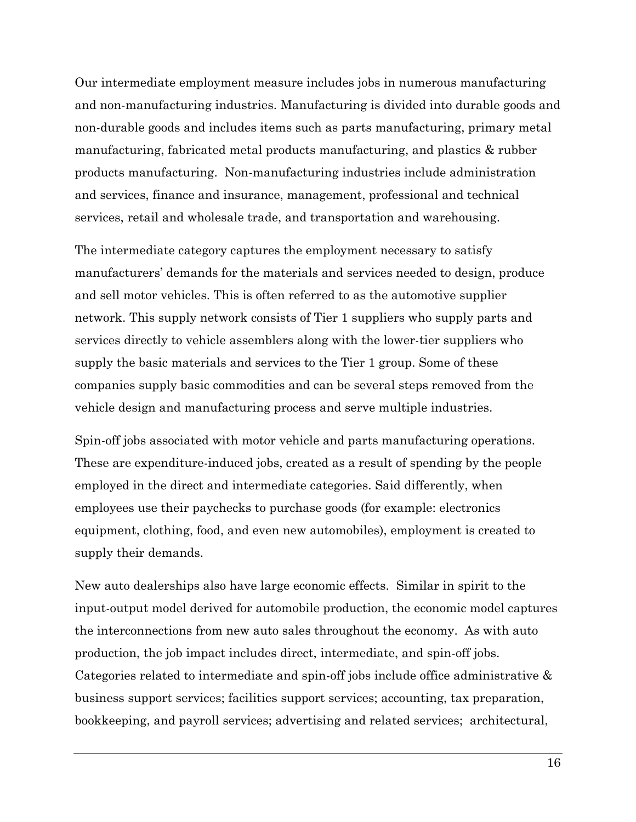Our intermediate employment measure includes jobs in numerous manufacturing and non-manufacturing industries. Manufacturing is divided into durable goods and non-durable goods and includes items such as parts manufacturing, primary metal manufacturing, fabricated metal products manufacturing, and plastics & rubber products manufacturing. Non-manufacturing industries include administration and services, finance and insurance, management, professional and technical services, retail and wholesale trade, and transportation and warehousing.

The intermediate category captures the employment necessary to satisfy manufacturers' demands for the materials and services needed to design, produce and sell motor vehicles. This is often referred to as the automotive supplier network. This supply network consists of Tier 1 suppliers who supply parts and services directly to vehicle assemblers along with the lower-tier suppliers who supply the basic materials and services to the Tier 1 group. Some of these companies supply basic commodities and can be several steps removed from the vehicle design and manufacturing process and serve multiple industries.

Spin-off jobs associated with motor vehicle and parts manufacturing operations. These are expenditure-induced jobs, created as a result of spending by the people employed in the direct and intermediate categories. Said differently, when employees use their paychecks to purchase goods (for example: electronics equipment, clothing, food, and even new automobiles), employment is created to supply their demands.

New auto dealerships also have large economic effects. Similar in spirit to the input-output model derived for automobile production, the economic model captures the interconnections from new auto sales throughout the economy. As with auto production, the job impact includes direct, intermediate, and spin-off jobs. Categories related to intermediate and spin-off jobs include office administrative & business support services; facilities support services; accounting, tax preparation, bookkeeping, and payroll services; advertising and related services; architectural,